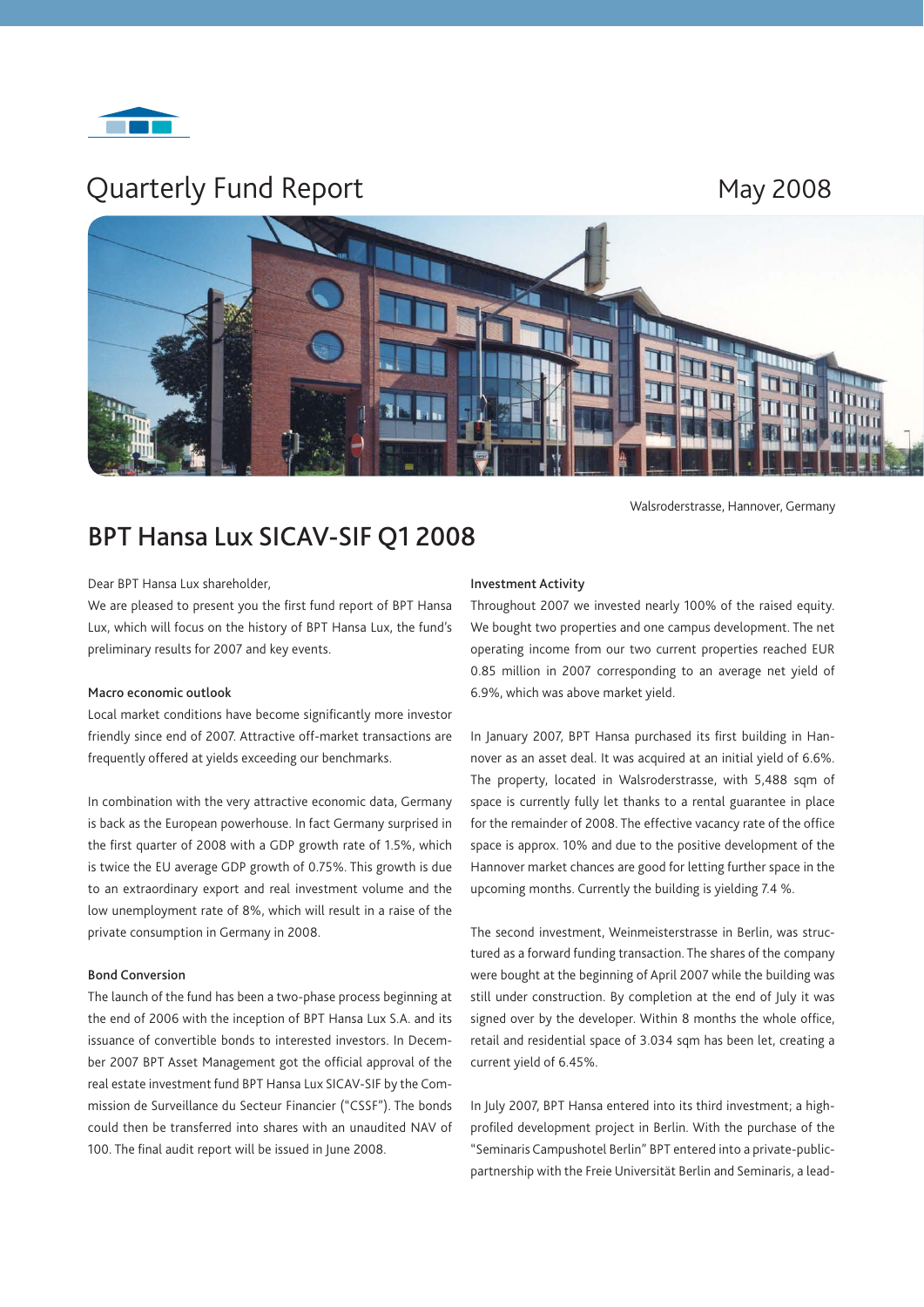

# Quarterly Fund Report May 2008



Walsroderstrasse, Hannover, Germany

# **BPT Hansa Lux SICAV-SIF Q1 2008**

# Dear BPT Hansa Lux shareholder,

We are pleased to present you the first fund report of BPT Hansa Lux, which will focus on the history of BPT Hansa Lux, the fund's preliminary results for 2007 and key events.

### **Macro economic outlook**

Local market conditions have become significantly more investor friendly since end of 2007. Attractive off-market transactions are frequently offered at yields exceeding our benchmarks.

In combination with the very attractive economic data, Germany is back as the European powerhouse. In fact Germany surprised in the first quarter of 2008 with a GDP growth rate of 1.5%, which is twice the EU average GDP growth of 0.75%. This growth is due to an extraordinary export and real investment volume and the low unemployment rate of 8%, which will result in a raise of the private consumption in Germany in 2008.

# **Bond Conversion**

The launch of the fund has been a two-phase process beginning at the end of 2006 with the inception of BPT Hansa Lux S.A. and its issuance of convertible bonds to interested investors. In December 2007 BPT Asset Management got the official approval of the real estate investment fund BPT Hansa Lux SICAV-SIF by the Commission de Surveillance du Secteur Financier ("CSSF"). The bonds could then be transferred into shares with an unaudited NAV of 100. The final audit report will be issued in June 2008.

## **Investment Activity**

Throughout 2007 we invested nearly 100% of the raised equity. We bought two properties and one campus development. The net operating income from our two current properties reached EUR 0.85 million in 2007 corresponding to an average net yield of 6.9%, which was above market yield.

In January 2007, BPT Hansa purchased its first building in Hannover as an asset deal. It was acquired at an initial yield of 6.6%. The property, located in Walsroderstrasse, with 5,488 sqm of space is currently fully let thanks to a rental guarantee in place for the remainder of 2008. The effective vacancy rate of the office space is approx. 10% and due to the positive development of the Hannover market chances are good for letting further space in the upcoming months. Currently the building is yielding 7.4 %.

The second investment, Weinmeisterstrasse in Berlin, was structured as a forward funding transaction. The shares of the company were bought at the beginning of April 2007 while the building was still under construction. By completion at the end of July it was signed over by the developer. Within 8 months the whole office, retail and residential space of 3.034 sqm has been let, creating a current yield of 6.45%.

In July 2007, BPT Hansa entered into its third investment; a highprofiled development project in Berlin. With the purchase of the "Seminaris Campushotel Berlin" BPT entered into a private-publicpartnership with the Freie Universität Berlin and Seminaris, a lead